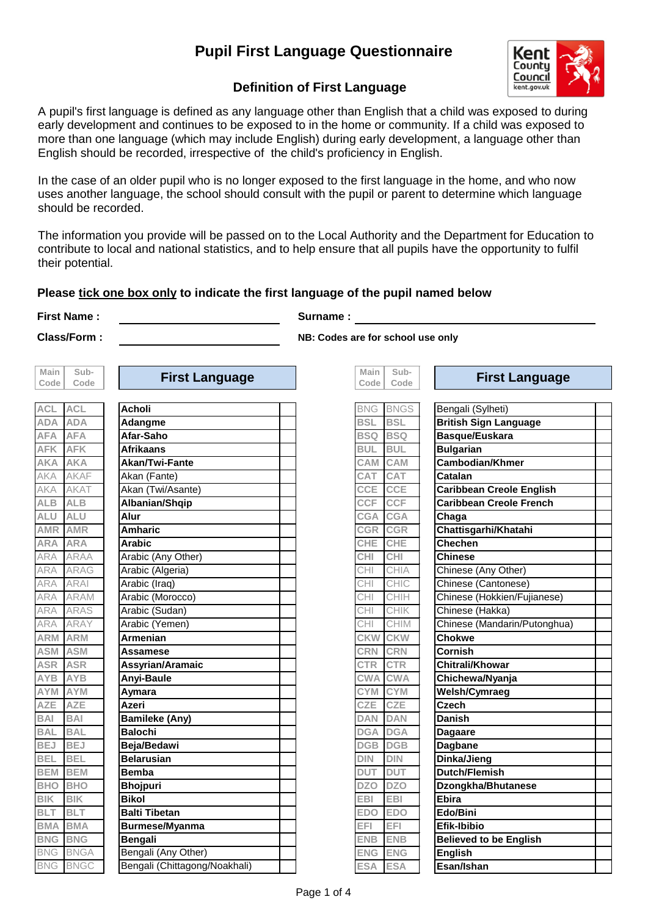### **Pupil First Language Questionnaire**



### **Definition of First Language**

A pupil's first language is defined as any language other than English that a child was exposed to during early development and continues to be exposed to in the home or community. If a child was exposed to more than one language (which may include English) during early development, a language other than English should be recorded, irrespective of the child's proficiency in English.

In the case of an older pupil who is no longer exposed to the first language in the home, and who now uses another language, the school should consult with the pupil or parent to determine which language should be recorded.

The information you provide will be passed on to the Local Authority and the Department for Education to contribute to local and national statistics, and to help ensure that all pupils have the opportunity to fulfil their potential.

#### **Please tick one box only to indicate the first language of the pupil named below**

**First Name : Surname :**

| Main    | Sub-            |  |
|---------|-----------------|--|
| Code    | Code            |  |
|         |                 |  |
| ACI     | <b>ACL</b>      |  |
| ÌА      | Αl<br>ÌА        |  |
| A       | Ά               |  |
| ĸ       | Κ               |  |
| Ά       | ά               |  |
|         | AF              |  |
|         | AΤ              |  |
| 3       | В               |  |
| l<br>J  | U               |  |
| 1R      | 1R<br>А         |  |
| À       | A               |  |
| Д       | АA              |  |
| Δ       | AG              |  |
| Δ       | ΑI              |  |
|         | <b>AM</b>       |  |
|         | S               |  |
|         | ÄΥ              |  |
| Μ       | M               |  |
| M       | M               |  |
| ₹       | R               |  |
| в       | В               |  |
| M       | M               |  |
|         | E               |  |
| I       | J               |  |
| l       | J               |  |
| J       | J               |  |
| l       | l               |  |
| M       | M               |  |
| IО      | łО              |  |
| Κ       | Κ               |  |
| Ī       | Ī               |  |
| MА      | MA              |  |
| ١G      | <b>BNG</b>      |  |
| IG      | <b>BNGA</b>     |  |
| R<br>ΙĆ | ₹NC<br>รัด<br>E |  |

| Code           | Code       | $11994$ and $9499$ | Code I     | Code            | <u>.</u>                     |
|----------------|------------|--------------------|------------|-----------------|------------------------------|
|                |            |                    |            |                 |                              |
| ACL.           | <b>ACL</b> | Acholi             |            | <b>BNG BNGS</b> | Bengali (Sylheti)            |
| <b>ADA</b>     | <b>ADA</b> | <b>Adangme</b>     | <b>BSL</b> | <b>BSL</b>      | <b>British Sign Language</b> |
| <b>AFA</b>     | <b>AFA</b> | Afar-Saho          |            | <b>BSQ BSQ</b>  | Basque/Euskara               |
| <b>AFK AFK</b> |            | <b>Afrikaans</b>   | <b>BUL</b> | <b>BUL</b>      | Bulgarian                    |

**Class/Form : NB: Codes are for school use only**

**Sub-**

**Main** 

| Code       | Code        | ı ıı ət ∟arıyuay∿             |            | Code   Code |                                |
|------------|-------------|-------------------------------|------------|-------------|--------------------------------|
|            |             |                               |            |             |                                |
| <b>ACL</b> | <b>ACL</b>  | <b>Acholi</b>                 | <b>BNG</b> | <b>BNGS</b> | Bengali (                      |
| <b>ADA</b> | <b>ADA</b>  | Adangme                       | <b>BSL</b> | <b>BSL</b>  | <b>British S</b>               |
| <b>AFA</b> | <b>AFA</b>  | Afar-Saho                     | <b>BSQ</b> | <b>BSQ</b>  | <b>Basque/I</b>                |
| <b>AFK</b> | <b>AFK</b>  | <b>Afrikaans</b>              | <b>BUL</b> | <b>BUL</b>  | <b>Bulgaria</b>                |
| AKA        | <b>AKA</b>  | <b>Akan/Twi-Fante</b>         | <b>CAM</b> | CAM         | Cambodi                        |
| AKA        | <b>AKAF</b> | Akan (Fante)                  | <b>CAT</b> | <b>CAT</b>  | Catalan                        |
| AKA        | <b>AKAT</b> | Akan (Twi/Asante)             | <b>CCE</b> | <b>CCE</b>  | Caribbea                       |
| <b>ALB</b> | <b>ALB</b>  | Albanian/Shqip                | <b>CCF</b> | <b>CCF</b>  | Caribbea                       |
| <b>ALU</b> | <b>ALU</b>  | Alur                          | <b>CGA</b> | <b>CGA</b>  | Chaga                          |
| <b>AMR</b> | <b>AMR</b>  | <b>Amharic</b>                | <b>CGR</b> | <b>CGR</b>  | <b>Chattisg</b>                |
| ARA        | <b>ARA</b>  | <b>Arabic</b>                 | <b>CHE</b> | CHE         | Chechen                        |
| ARA        | <b>ARAA</b> | Arabic (Any Other)            | <b>CHI</b> | <b>CHI</b>  | <b>Chinese</b>                 |
| ARA        | <b>ARAG</b> | Arabic (Algeria)              | CHI        | CHIA        | Chinese                        |
| ARA        | <b>ARAI</b> | Arabic (Iraq)                 | CHI        | CHIC        | Chinese                        |
| ARA        | <b>ARAM</b> | Arabic (Morocco)              | CHI        | CHIH        | Chinese                        |
| ARA        | <b>ARAS</b> | Arabic (Sudan)                | CHI        | CHIK        | Chinese (                      |
| ARA        | <b>ARAY</b> | Arabic (Yemen)                | CHI        | <b>CHIM</b> | Chinese                        |
| <b>ARM</b> | <b>ARM</b>  | Armenian                      | <b>CKW</b> | <b>CKW</b>  | Chokwe                         |
| ASM        | <b>ASM</b>  | Assamese                      | <b>CRN</b> | <b>CRN</b>  | Cornish                        |
| <b>ASR</b> | <b>ASR</b>  | Assyrian/Aramaic              | <b>CTR</b> | <b>CTR</b>  | Chitrali/k                     |
| AYB        | <b>AYB</b>  | <b>Anyi-Baule</b>             | <b>CWA</b> | <b>CWA</b>  | <b>Chichew</b>                 |
| AYM        | <b>AYM</b>  | Aymara                        | CYM CYM    |             | $\overline{\mathsf{W}}$ elsh/C |
| <b>AZE</b> | <b>AZE</b>  | Azeri                         | <b>CZE</b> | CZE         | <b>Czech</b>                   |
| <b>BAI</b> | <b>BAI</b>  | <b>Bamileke (Any)</b>         | <b>DAN</b> | <b>DAN</b>  | Danish                         |
| <b>BAL</b> | <b>BAL</b>  | <b>Balochi</b>                | <b>DGA</b> | <b>DGA</b>  | <b>Dagaare</b>                 |
| <b>BEJ</b> | <b>BEJ</b>  | Beja/Bedawi                   | <b>DGB</b> | <b>DGB</b>  | <b>Dagbane</b>                 |
| <b>BEL</b> | <b>BEL</b>  | <b>Belarusian</b>             | <b>DIN</b> | DIN         | Dinka/Jie                      |
| <b>BEM</b> | <b>BEM</b>  | <b>Bemba</b>                  | <b>DUT</b> | <b>DUT</b>  | <b>Dutch/Flo</b>               |
| <b>BHO</b> | <b>BHO</b>  | <b>Bhojpuri</b>               | <b>DZO</b> | <b>DZO</b>  | <b>Dzongkh</b>                 |
| <b>BIK</b> | <b>BIK</b>  | <b>Bikol</b>                  | <b>EBI</b> | <b>EBI</b>  | <b>Ebira</b>                   |
| <b>BLT</b> | <b>BLT</b>  | <b>Balti Tibetan</b>          | <b>EDO</b> | <b>EDO</b>  | Edo/Bini                       |
| <b>BMA</b> | <b>BMA</b>  | Burmese/Myanma                | EFI        | EFI         | Efik-Ibibi                     |
| <b>BNG</b> | <b>BNG</b>  | <b>Bengali</b>                | <b>ENB</b> | <b>ENB</b>  | <b>Believed</b>                |
| <b>BNG</b> | <b>BNGA</b> | Bengali (Any Other)           | <b>ENG</b> | <b>ENG</b>  | <b>English</b>                 |
| <b>BNG</b> | <b>BNGC</b> | Bengali (Chittagong/Noakhali) | <b>ESA</b> | <b>ESA</b>  | Esan/Ish                       |

**First Language First Language**

| ACL        | <b>IACL</b>     | Acnoli                        |            | BNG BNGS    | Bengall (Sylneti)               |  |
|------------|-----------------|-------------------------------|------------|-------------|---------------------------------|--|
| ADA        | <b>ADA</b>      | Adangme                       | <b>BSL</b> | <b>BSL</b>  | <b>British Sign Language</b>    |  |
| <b>AFA</b> | <b>AFA</b>      | Afar-Saho                     | <b>BSQ</b> | <b>BSQ</b>  | Basque/Euskara                  |  |
| <b>AFK</b> | <b>AFK</b>      | <b>Afrikaans</b>              | <b>BUL</b> | <b>BUL</b>  | <b>Bulgarian</b>                |  |
| AKA        | <b>AKA</b>      | Akan/Twi-Fante                | CAM        | CAM         | <b>Cambodian/Khmer</b>          |  |
| AKA        | <b>AKAF</b>     | Akan (Fante)                  | CAT        | CAT         | Catalan                         |  |
| AKA        | <b>AKAT</b>     | Akan (Twi/Asante)             | <b>CCE</b> | <b>CCE</b>  | <b>Caribbean Creole English</b> |  |
| <b>ALB</b> | <b>ALB</b>      | Albanian/Shqip                | <b>CCF</b> | <b>CCF</b>  | <b>Caribbean Creole French</b>  |  |
| <b>ALU</b> | <b>ALU</b>      | Alur                          | <b>CGA</b> | <b>CGA</b>  | Chaga                           |  |
| <b>AMR</b> | <b>AMR</b>      | <b>Amharic</b>                | <b>CGR</b> | CGR         | Chattisgarhi/Khatahi            |  |
| ARA        | <b>ARA</b>      | <b>Arabic</b>                 | <b>CHE</b> | <b>CHE</b>  | <b>Chechen</b>                  |  |
| ARA        | <b>ARAA</b>     | Arabic (Any Other)            | CHI        | CHI         | <b>Chinese</b>                  |  |
| ARA        | <b>ARAG</b>     | Arabic (Algeria)              | CHI        | <b>CHIA</b> | Chinese (Any Other)             |  |
| ARA        | <b>ARAI</b>     | Arabic (Iraq)                 | <b>CHI</b> | CHIC        | Chinese (Cantonese)             |  |
| ARA        | <b>ARAM</b>     | Arabic (Morocco)              | CHI        | CHIH        | Chinese (Hokkien/Fujianese)     |  |
| ARA        | <b>ARAS</b>     | Arabic (Sudan)                | <b>CHI</b> | CHIK        | Chinese (Hakka)                 |  |
| ARA        | <b>ARAY</b>     | Arabic (Yemen)                | CHI        | <b>CHIM</b> | Chinese (Mandarin/Putonghua)    |  |
| <b>ARM</b> | <b>ARM</b>      | <b>Armenian</b>               | <b>CKW</b> | <b>CKW</b>  | <b>Chokwe</b>                   |  |
| <b>ASM</b> | <b>ASM</b>      | Assamese                      | <b>CRN</b> | <b>CRN</b>  | Cornish                         |  |
| <b>ASR</b> | <b>ASR</b>      | Assyrian/Aramaic              | <b>CTR</b> | <b>CTR</b>  | <b>Chitrali/Khowar</b>          |  |
| <b>AYB</b> | <b>AYB</b>      | <b>Anyi-Baule</b>             | <b>CWA</b> | <b>CWA</b>  | Chichewa/Nyanja                 |  |
| AYM        | <b>AYM</b>      | Aymara                        | <b>CYM</b> | <b>CYM</b>  | Welsh/Cymraeg                   |  |
| <b>AZE</b> | <b>AZE</b>      | Azeri                         | CZE        | CZE         | <b>Czech</b>                    |  |
| <b>BAI</b> | <b>BAI</b>      | <b>Bamileke (Any)</b>         | <b>DAN</b> | <b>DAN</b>  | <b>Danish</b>                   |  |
| <b>BAL</b> | <b>BAL</b>      | <b>Balochi</b>                | <b>DGA</b> | <b>DGA</b>  | <b>Dagaare</b>                  |  |
| <b>BEJ</b> | <b>BEJ</b>      | Beja/Bedawi                   | <b>DGB</b> | <b>DGB</b>  | <b>Dagbane</b>                  |  |
| <b>BEL</b> | <b>BEL</b>      | <b>Belarusian</b>             | <b>DIN</b> | <b>DIN</b>  | Dinka/Jieng                     |  |
| <b>BEM</b> | <b>BEM</b>      | <b>Bemba</b>                  | <b>DUT</b> | <b>DUT</b>  | <b>Dutch/Flemish</b>            |  |
| <b>BHO</b> | <b>BHO</b>      | <b>Bhojpuri</b>               | <b>DZO</b> | <b>DZO</b>  | Dzongkha/Bhutanese              |  |
| <b>BIK</b> | <b>BIK</b>      | <b>Bikol</b>                  | <b>EBI</b> | <b>EBI</b>  | <b>Ebira</b>                    |  |
| <b>BLT</b> | <b>BLT</b>      | <b>Balti Tibetan</b>          | <b>EDO</b> | <b>EDO</b>  | Edo/Bini                        |  |
| <b>BMA</b> | <b>BMA</b>      | <b>Burmese/Myanma</b>         | EFI.       | EFI         | <b>Efik-Ibibio</b>              |  |
| <b>BNG</b> | <b>BNG</b>      | <b>Bengali</b>                | <b>ENB</b> | <b>ENB</b>  | <b>Believed to be English</b>   |  |
| <b>BNG</b> | <b>BNGA</b>     | Bengali (Any Other)           | <b>ENG</b> | <b>ENG</b>  | <b>English</b>                  |  |
|            | <b>BNG BNGC</b> | Bengali (Chittagong/Noakhali) | <b>ESA</b> | <b>ESA</b>  | Esan/Ishan                      |  |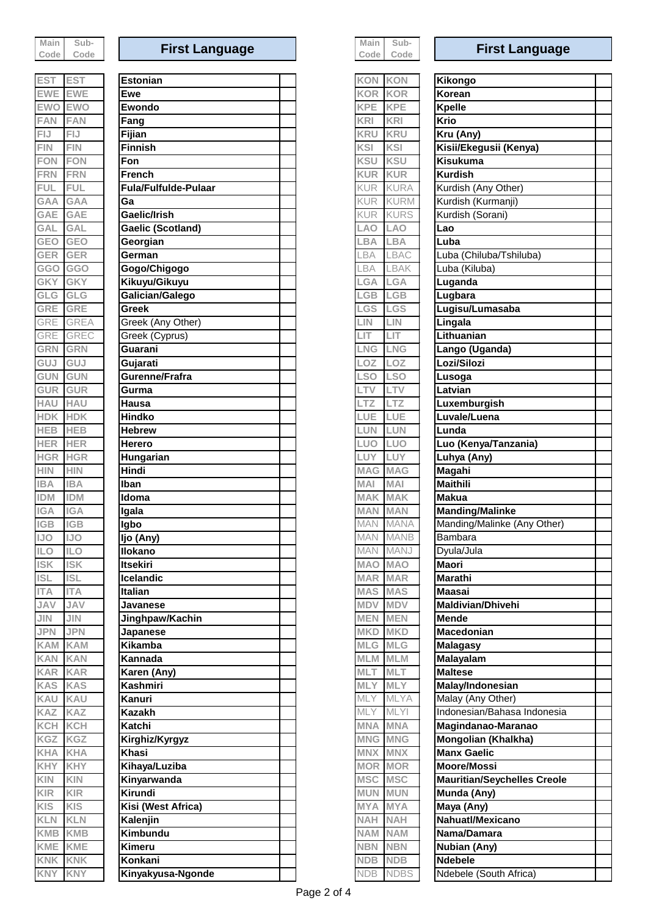| Main   | Sub- |
|--------|------|
| Code l | Code |

| ES                                                      | ) l          |
|---------------------------------------------------------|--------------|
| E١<br>NΕ                                                |              |
| ï)<br><b>NO</b><br>I                                    | IC<br>€      |
| FAN<br>I                                                |              |
|                                                         |              |
|                                                         |              |
|                                                         | ЛN           |
| F                                                       |              |
| FI                                                      |              |
| <b>GAA</b>                                              | Α<br>1       |
| GAI                                                     | A<br>G       |
| GAI                                                     | Al<br>I<br>G |
| GEO                                                     | EO<br>G      |
| GEI<br>₹                                                | ER<br>G      |
| <b>GGO</b>                                              | <b>GGO</b>   |
| GK                                                      | K<br>G       |
| Gl<br>.G                                                | G<br>G       |
| <b>GRE</b>                                              | ₹E           |
| $\overline{\phantom{a}}$<br>₹<br>ЭI<br>ł                | ζ<br>A<br>ŀ  |
| ЭI<br>$\big($<br>ζ<br>ł                                 | ł            |
| GR                                                      |              |
| O                                                       |              |
| Э                                                       |              |
| G                                                       |              |
| G                                                       |              |
| ٦A                                                      |              |
|                                                         |              |
|                                                         | EВ           |
|                                                         | ΞR           |
| IGR<br>I                                                | GR           |
| łΙN<br>h<br>$\begin{array}{c} \hline \end{array}$<br>BА | IN<br>Α      |
| j<br>DM                                                 | DМ           |
| <b>IGA</b>                                              | IGA          |
| <b>IGB</b>                                              | эΒ           |
| <b>IJO</b>                                              | JO           |
| Ш<br>-0<br>)                                            | 11<br>C<br>) |
| <b>ISI</b>                                              | ISI          |
| <b>ISL</b>                                              | <b>ISL</b>   |
| <b>ITA</b>                                              | <b>ITA</b>   |
| <b>JAV</b>                                              | <b>JAV</b>   |
| <b>JIN</b>                                              | <b>JIN</b>   |
| <b>JPN</b>                                              | <b>JPN</b>   |
| KAM                                                     | <b>KAM</b>   |
| <b>KAN</b>                                              | <b>KAN</b>   |
| <b>KAR</b>                                              | <b>KAR</b>   |
| <b>KAS</b>                                              | <b>KAS</b>   |
| KAU                                                     | <b>KAU</b>   |
| KAZ                                                     | <b>KAZ</b>   |
| KCH                                                     | KCH          |
| KGZ                                                     | KGZ          |
| <b>KHA</b>                                              | <b>KHA</b>   |
| <b>KHY</b>                                              | KHY          |
| <b>KIN</b>                                              | KIN          |
| <b>KIR</b>                                              | KIR          |
| <b>KIS</b>                                              | KIS          |
| <b>KLN</b>                                              | KLN          |
| <b>KMB</b>                                              | KMB          |
| KME                                                     | KME          |
| <b>KNK</b>                                              | KNK          |
| <b>IZNIV</b>                                            | <b>KNV</b>   |

| <b>EST</b>        | <b>EST</b>               | <b>Estonian</b>             | <b>KON</b><br><b>KON</b>         | Kikongo                                   |
|-------------------|--------------------------|-----------------------------|----------------------------------|-------------------------------------------|
| EWE               | <b>EWE</b>               | Ewe                         | <b>KOR</b><br><b>KOR</b>         | Korean                                    |
| <b>EWO</b>        | <b>EWO</b>               | Ewondo                      | <b>KPE</b><br><b>KPE</b>         | <b>Kpelle</b>                             |
| FAN               | <b>FAN</b>               | Fang                        | <b>KRI</b><br>KRI                | Krio                                      |
| FIJ               | <b>FIJ</b>               | Fijian                      | <b>KRU</b><br><b>KRU</b>         | Kru (Any)                                 |
| FIN               | <b>FIN</b>               | <b>Finnish</b>              | KSI<br><b>KSI</b>                | Kisii/Ekegusii (Kenya)                    |
| <b>FON</b>        | <b>FON</b>               | Fon                         | <b>KSU</b><br><b>KSU</b>         | <b>Kisukuma</b>                           |
| <b>FRN</b>        | <b>FRN</b>               | <b>French</b>               | <b>KUR</b><br><b>KUR</b>         | <b>Kurdish</b>                            |
| <b>FUL</b>        | <b>FUL</b>               | <b>Fula/Fulfulde-Pulaar</b> | <b>KURA</b><br><b>KUR</b>        | Kurdish (Any Other)                       |
| GAA               | <b>GAA</b>               | Gа                          | <b>KURM</b><br><b>KUR</b>        | Kurdish (Kurmanji)                        |
| GAE               | GAE                      | Gaelic/Irish                | <b>KURS</b><br><b>KUR</b>        | Kurdish (Sorani)                          |
| GAL               | <b>GAL</b>               | Gaelic (Scotland)           | <b>LAO</b><br><b>LAO</b>         | Lao                                       |
| GEO               | <b>GEO</b>               | Georgian                    | <b>LBA</b><br><b>LBA</b>         | Luba                                      |
| GER               | <b>GER</b>               | German                      | LBA<br>LBAC                      | Luba (Chiluba/Tshiluba)                   |
| <b>GGO</b>        | <b>GGO</b>               | Gogo/Chigogo                | LBA<br><b>LBAK</b>               | Luba (Kiluba)                             |
| GKY               | <b>GKY</b>               | Kikuyu/Gikuyu               | <b>LGA</b><br>LGA                | Luganda                                   |
| GLG               | GLG                      | Galician/Galego             | <b>LGB</b><br>LGB                | Lugbara                                   |
| GRE               | <b>GRE</b>               | Greek                       | <b>LGS</b><br>LGS                | Lugisu/Lumasaba                           |
| GRE               | <b>GREA</b>              | Greek (Any Other)           | LIN<br>$_{\rm LIN}$              | Lingala                                   |
| GRE               | GREC                     | Greek (Cyprus)              | LIT<br>LIT                       | Lithuanian                                |
| GRN               | GRN                      | Guarani                     | LNG<br><b>LNG</b>                | Lango (Uganda)                            |
| GUJ               | GUJ                      | Gujarati                    | LOZ<br>LOZ                       | Lozi/Silozi                               |
| GUN               | <b>GUN</b>               | Gurenne/Frafra              | <b>LSO</b><br><b>LSO</b>         | Lusoga                                    |
| GUR               | <b>GUR</b>               | Gurma                       | LTV<br><b>LTV</b>                | Latvian                                   |
| HAU               | <b>HAU</b>               | Hausa                       | LTZ<br>LTZ                       | Luxemburgish                              |
| <b>HDK</b>        | <b>HDK</b>               | <b>Hindko</b>               | LUE<br>LUE                       | Luvale/Luena                              |
| <b>HEB</b>        | <b>HEB</b>               | <b>Hebrew</b>               | LUN<br><b>LUN</b>                | Lunda                                     |
| <b>HER</b>        | <b>HER</b>               | Herero                      | LUO<br><b>LUO</b>                | Luo (Kenya/Tanzania)                      |
| <b>HGR</b>        | <b>HGR</b>               | Hungarian                   | LUY<br>LUY                       | Luhya (Any)                               |
| <b>HIN</b>        | <b>HIN</b>               | Hindi                       | <b>MAG</b><br><b>MAG</b>         | Magahi                                    |
| <b>IBA</b>        | <b>IBA</b>               | Iban                        | MAI<br>MAI                       | <b>Maithili</b>                           |
| <b>IDM</b>        | <b>IDM</b>               | <b>Idoma</b>                | <b>MAK</b><br><b>MAK</b>         | <b>Makua</b>                              |
| <b>IGA</b>        | <b>IGA</b>               | Igala                       | <b>MAN</b><br><b>MAN</b>         | <b>Manding/Malinke</b>                    |
| <b>IGB</b>        | <b>IGB</b>               | Igbo                        | <b>MAN</b><br><b>MANA</b>        | Manding/Malinke (Any Other)               |
| <b>JO</b>         | <b>IJO</b>               | Ijo (Any)                   | <b>MANB</b><br><b>MAN</b>        | Bambara                                   |
| <b>ILO</b>        | ILO                      | Ilokano                     | MAN MANJ                         | Dyula/Jula                                |
| <b>ISK</b>        | <b>ISK</b>               | <b>Itsekiri</b>             | <b>MAO MAO</b>                   | <b>Maori</b>                              |
| <b>ISL</b>        | <b>ISL</b>               | <b>Icelandic</b>            | <b>MAR MAR</b>                   | <b>Marathi</b>                            |
| <b>ITA</b>        | <b>ITA</b>               | Italian                     | <b>MAS MAS</b>                   | <b>Maasai</b>                             |
| <b>JAV</b>        | <b>JAV</b>               | <b>Javanese</b>             | MDV MDV                          | <b>Maldivian/Dhivehi</b>                  |
| JIN               | <b>JIN</b>               | Jinghpaw/Kachin             | <b>MEN MEN</b>                   | <b>Mende</b>                              |
| <b>JPN</b>        | <b>JPN</b>               | Japanese                    | <b>MKD MKD</b>                   | Macedonian                                |
| KAM               | <b>KAM</b>               | <b>Kikamba</b>              | MLG MLG                          | <b>Malagasy</b>                           |
| KAN               | <b>KAN</b>               | Kannada                     | MLM MLM                          | <b>Malayalam</b>                          |
| KAR               | <b>KAR</b>               | Karen (Any)                 | MLT<br>MLT                       | <b>Maltese</b>                            |
| <b>KAS</b>        | <b>KAS</b>               | Kashmiri                    | <b>MLY</b><br><b>MLY</b>         | Malay/Indonesian                          |
| KAU               | <b>KAU</b>               | Kanuri                      | MLYA<br>MLY                      | Malay (Any Other)                         |
| KAZ               | <b>KAZ</b>               | <b>Kazakh</b>               | MLY<br><b>MLYI</b>               | Indonesian/Bahasa Indonesia               |
| KCH               | <b>KCH</b><br><b>KGZ</b> | Katchi                      | <b>MNA MNA</b>                   | Magindanao-Maranao                        |
| KGZ               | <b>KHA</b>               | Kirghiz/Kyrgyz<br>Khasi     | <b>MNG MNG</b><br><b>MNX MNX</b> | Mongolian (Khalkha)<br><b>Manx Gaelic</b> |
| KHA<br><b>KHY</b> | <b>KHY</b>               | Kihaya/Luziba               | <b>MOR MOR</b>                   | Moore/Mossi                               |
| <b>KIN</b>        | <b>KIN</b>               | Kinyarwanda                 | MSC MSC                          | <b>Mauritian/Seychelles Creole</b>        |
| <b>KIR</b>        | <b>KIR</b>               | Kirundi                     | <b>MUN MUN</b>                   | Munda (Any)                               |
| <b>KIS</b>        | <b>KIS</b>               | Kisi (West Africa)          | <b>MYA</b><br><b>MYA</b>         | Maya (Any)                                |
| KLN               | <b>KLN</b>               | Kalenjin                    | <b>NAH</b><br><b>NAH</b>         | <b>Nahuatl/Mexicano</b>                   |
| KMB               | <b>KMB</b>               | Kimbundu                    | <b>NAM</b><br><b>NAM</b>         | Nama/Damara                               |
| KME               | KME                      | Kimeru                      | <b>NBN</b><br><b>NBN</b>         | <b>Nubian (Any)</b>                       |
| <b>KNK</b>        | <b>KNK</b>               | Konkani                     | <b>NDB</b><br><b>NDB</b>         | <b>Ndebele</b>                            |
| <b>KNY</b>        | <b>KNY</b>               | Kinyakyusa-Ngonde           | NDB NDBS                         | Ndebele (South Africa)                    |
|                   |                          |                             |                                  |                                           |

| ורו |   |
|-----|---|
| -   | ¬ |

# **First Language First Language**

| <b>KON</b>                     | <b>KON</b>          |                          |
|--------------------------------|---------------------|--------------------------|
| <b>KOR</b>                     | KOR                 |                          |
| <b>KPE</b>                     | <b>KPE</b>          |                          |
| <b>KRI</b>                     | KRI                 |                          |
| <b>KRU</b>                     | KRU                 |                          |
| $\overline{\text{S}}$          | SI                  |                          |
| <b>SU</b>                      | SU                  |                          |
| $\overline{\mathcal{C}}$<br>JR | JR                  |                          |
| (UR                            | JRA                 |                          |
| <b>KUR</b>                     | JRM                 |                          |
| Kl<br>JR                       | JRS                 |                          |
| AO                             | AΟ                  |                          |
| -BA                            | -BA<br><b>BAC</b>   |                          |
| .BA<br>BA                      | l<br>3AK<br>l       | I                        |
| $-GA$                          | $-GA$<br>ı          | I                        |
| .GB                            | L<br>.GB            | I                        |
| .GS                            | <b>LGS</b>          | $\overline{\phantom{a}}$ |
| JN.                            | IN.<br>J            |                          |
| JT.                            | JŤ.<br>L            |                          |
| .NG                            | .NG<br>ı            | I                        |
| 0Z                             | OZ.<br>J,           | $\overline{\phantom{a}}$ |
| $\overline{\text{SO}}$         | SO<br>l             | $\overline{\phantom{a}}$ |
|                                | J                   | $\overline{\phantom{a}}$ |
| TZ                             | TZ.                 |                          |
| <b>UE</b>                      | .UE                 |                          |
| LUN                            | _UN                 |                          |
| LUO.                           | JO<br>π             |                          |
| LUY.                           | JY<br>J             |                          |
| <b>MAG</b>                     | MAG                 |                          |
| IAN                            | MAI                 |                          |
| <b>MAK</b>                     | <b>MAK</b>          |                          |
| <b>MAN</b><br><b>MAN</b>       | MAN<br><b>MANA</b>  |                          |
| MAN                            | <b>MANB</b>         |                          |
| <b>MAN</b>                     | MANJ                |                          |
| OAN                            | <b>MAO</b>          | I                        |
| <b>MAR</b>                     | <b>MAR</b>          | I                        |
| <b>MAS</b>                     | <b>MAS</b>          | I                        |
| VIDV                           | <b>MDV</b>          | $\overline{\phantom{a}}$ |
| MEN                            | <b>MEN</b>          | I                        |
| <b>MKD</b>                     | <b>MKD</b>          |                          |
| <b>MLG</b>                     | <b>MLG</b>          |                          |
| ∥LM                            | <b>MLM</b>          |                          |
| <b>NLT</b>                     | MLT                 |                          |
| <b>MLY</b>                     | MLY                 | I                        |
| VILY<br>VIEY                   | MLYA<br><b>MLYI</b> |                          |
| <b>MNA</b>                     | <b>MNA</b>          | I                        |
| <b>MNG</b>                     | <b>MNG</b>          | J                        |
| XMM                            | <b>MNX</b>          | I                        |
| <b>MOR</b>                     | <b>MOR</b>          | $\bigg $                 |
| <b>VISC</b>                    | <b>MSC</b>          | I                        |
| WUN                            | <b>MUN</b>          | I                        |
| <b>NYA</b>                     | <b>MYA</b>          | $\overline{\phantom{a}}$ |
| HAV                            | <b>NAH</b>          | $\overline{\phantom{a}}$ |
| MAV                            | <b>NAM</b>          | $\overline{\phantom{a}}$ |
| <b>JBN</b>                     | <b>NBN</b>          |                          |
| <b>NDB</b>                     | <b>NDB</b>          |                          |

| Kikongo                            |  |
|------------------------------------|--|
| Korean                             |  |
| <b>Kpelle</b>                      |  |
| Krio                               |  |
| Kru (Any)                          |  |
| Kisii/Ekegusii (Kenya)             |  |
| Kisukuma                           |  |
| <b>Kurdish</b>                     |  |
| Kurdish (Any Other)                |  |
| Kurdish (Kurmanji)                 |  |
| Kurdish (Sorani)                   |  |
| Lao                                |  |
| Luba                               |  |
| Luba (Chiluba/Tshiluba)            |  |
| Luba (Kiluba)                      |  |
| Luganda                            |  |
| Lugbara                            |  |
| Lugisu/Lumasaba                    |  |
| Lingala                            |  |
| Lithuanian                         |  |
| Lango (Uganda)                     |  |
| Lozi/Silozi                        |  |
| Lusoga                             |  |
| Latvian                            |  |
| Luxemburgish                       |  |
| Luvale/Luena                       |  |
| Lunda                              |  |
| Luo (Kenya/Tanzania)               |  |
| Luhya (Any)                        |  |
| Magahi                             |  |
| <b>Maithili</b>                    |  |
| Makua                              |  |
| <b>Manding/Malinke</b>             |  |
| Manding/Malinke (Any Other)        |  |
| Bambara                            |  |
| Dyula/Jula                         |  |
| <b>Maori</b>                       |  |
| Marathi                            |  |
| <b>Maasai</b>                      |  |
| <b>Maldivian/Dhivehi</b>           |  |
| Mende                              |  |
| Macedonian                         |  |
|                                    |  |
| Malagasy                           |  |
| Malayalam<br><b>Maltese</b>        |  |
|                                    |  |
| Malay/Indonesian                   |  |
| Malay (Any Other)                  |  |
| Indonesian/Bahasa Indonesia        |  |
| Magindanao-Maranao                 |  |
| Mongolian (Khalkha)                |  |
| <b>Manx Gaelic</b>                 |  |
| <b>Moore/Mossi</b>                 |  |
| <b>Mauritian/Seychelles Creole</b> |  |
| Munda (Any)                        |  |
| Maya (Any)                         |  |
| Nahuatl/Mexicano                   |  |
| Nama/Damara                        |  |
| Nubian (Any)                       |  |
| <b>Ndebele</b>                     |  |
| Ndebele (South Africa)             |  |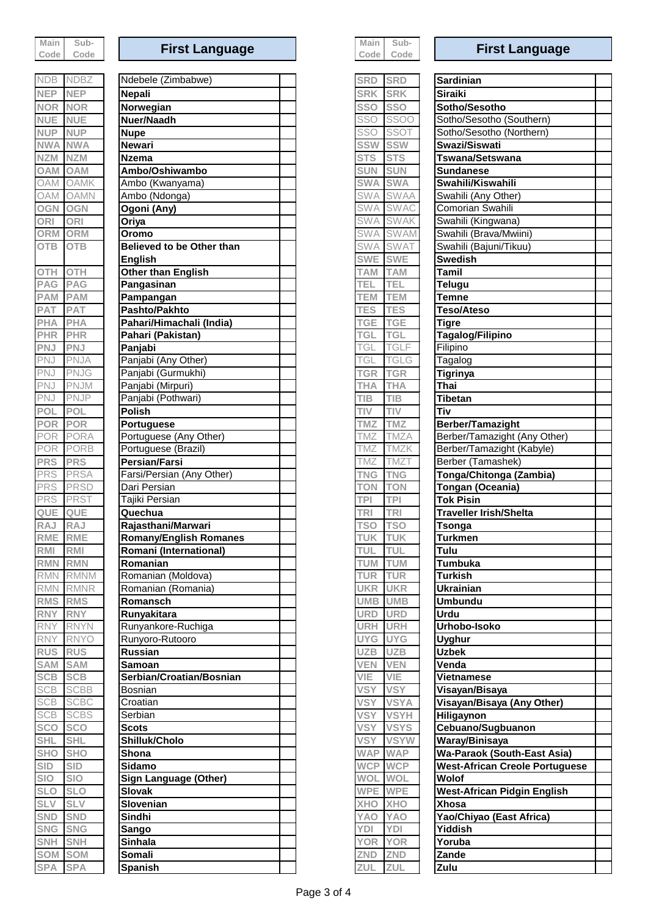| Main   | Sub- |
|--------|------|
| Code l | Code |

| <b>NDB</b>               | <b>NDBZ</b>               |
|--------------------------|---------------------------|
| <b>NEP</b>               | <b>NEP</b>                |
| <b>NOR</b>               | <b>NOR</b>                |
| <b>NUE</b>               | <b>NUE</b>                |
| <b>NUP</b>               | <b>NUP</b>                |
| <b>NWA</b>               | <b>NWA</b>                |
| <b>NZM</b>               | <b>NZM</b>                |
| <b>OAM</b>               | <b>OAM</b>                |
| <b>DAM</b><br>(          | <b>AMK</b><br>(           |
| OAM                      | <b>OAMN</b>               |
| OGN                      | OGN                       |
| ORI                      | ORI                       |
| ORM                      | ORM                       |
| <b>OTB</b>               | <b>OTB</b>                |
| OTH                      | OTH                       |
| <b>PAG</b>               | <b>PAG</b>                |
| <b>PAM</b>               | <b>PAM</b>                |
| <b>PAT</b>               | <b>PAT</b>                |
| <b>PHA</b>               | <b>PHA</b>                |
| <b>PHR</b>               | <b>PHR</b>                |
| <b>PNJ</b>               | <b>PNJ</b>                |
| PNJ                      | <b>NJA</b><br>F           |
| PNJ                      | PNJG                      |
| PNJ<br>PNJ               | PNJM<br><b>PNJP</b>       |
| POL                      | <b>POL</b>                |
| <b>POR</b>               | <b>POR</b>                |
| POR                      | <b>PORA</b>               |
| POR                      | <b>PORB</b>               |
| <b>PRS</b>               | <b>PRS</b>                |
| <b>PRS</b>               | <b>PRSA</b>               |
| PRS                      | <b>PRSD</b>               |
| <b>PRS</b>               | <b>PRS</b>                |
| QUE                      | QUE                       |
| <b>RAJ</b>               | <b>RAJ</b>                |
| <b>RME</b>               | <b>RME</b>                |
| <b>RMI</b>               | RMI                       |
| <u>RMI</u>               | ľ<br>l Mit                |
| <b>RMN</b>               | <b>RMNM</b>               |
| <b>RMN</b>               | <b>RMNR</b>               |
| <b>RMS</b>               | <b>RMS</b>                |
| <b>RNY</b><br><b>RNY</b> | <b>RNY</b><br><b>RNYN</b> |
| <b>RNY</b>               | <b>RNYO</b>               |
| <b>RUS</b>               | <b>RUS</b>                |
| <b>SAM</b>               | <b>SAM</b>                |
| <b>SCB</b>               | <b>SCB</b>                |
| <b>SCB</b>               | <b>SCBB</b>               |
| <b>SCB</b>               | <b>SCBC</b>               |
| SCB                      | <b>SCBS</b>               |
| <b>SCO</b>               | <b>SCO</b>                |
| <b>SHI</b>               | <b>SHI</b>                |
| <b>SHO</b>               | <b>SHO</b>                |
| <b>SID</b>               | <b>SID</b>                |
| <b>SIO</b>               | <b>SIO</b>                |
| <b>SLO</b>               | <b>SLO</b>                |
| <b>SLV</b>               | <b>SLV</b>                |
| <b>SND</b>               | <b>SND</b>                |
| <b>SNG</b>               | <b>SNG</b>                |
| <b>SNH</b>               | <b>SNH</b>                |
| SOM                      | 6OM                       |
|                          |                           |

| <b>NDB</b>        | <b>NDBZ</b> | Ndebele (Zimbabwe)            | <b>SRD</b> | <b>SRD</b><br><b>Sardinian</b>                            |
|-------------------|-------------|-------------------------------|------------|-----------------------------------------------------------|
| <b>NEP</b>        | <b>NEP</b>  | Nepali                        | <b>SRK</b> | <b>SRK</b><br>Siraiki                                     |
| <b>NOR</b>        | <b>NOR</b>  | Norwegian                     | <b>SSO</b> | <b>SSO</b><br>Sotho/Sesotho                               |
| <b>NUE</b>        | <b>NUE</b>  | Nuer/Naadh                    | SSO        | <b>SSOO</b><br>Sotho/Sesotho (Southern)                   |
| <b>NUP</b>        | <b>NUP</b>  | <b>Nupe</b>                   | SSO        | <b>SSOT</b><br>Sotho/Sesotho (Northern)                   |
| <b>NWA</b>        | <b>NWA</b>  | <b>Newari</b>                 | <b>SSW</b> | <b>SSW</b><br>Swazi/Siswati                               |
| <b>NZM</b>        | <b>NZM</b>  | <b>Nzema</b>                  | <b>STS</b> | <b>STS</b><br><b>Tswana/Setswana</b>                      |
| <b>MAO</b>        | <b>OAM</b>  | Ambo/Oshiwambo                | <b>SUN</b> | <b>SUN</b><br><b>Sundanese</b>                            |
| <b>OAM</b>        | <b>OAMK</b> | Ambo (Kwanyama)               | <b>SWA</b> | <b>SWA</b><br>Swahili/Kiswahili                           |
| <b>OAM</b>        | <b>OAMN</b> | Ambo (Ndonga)                 | <b>SWA</b> | <b>SWAA</b><br>Swahili (Any Other)                        |
| OGN               | <b>OGN</b>  | Ogoni (Any)                   | <b>SWA</b> | <b>SWAC</b><br>Comorian Swahili                           |
| ORI               | <b>ORI</b>  | Oriya                         | <b>SWA</b> | <b>SWAK</b><br>Swahili (Kingwana)                         |
| ORM               | ORM         | Oromo                         | <b>SWA</b> | <b>SWAM</b><br>Swahili (Brava/Mwiini)                     |
| <b>OTB</b>        | <b>OTB</b>  | Believed to be Other than     | <b>SWA</b> | <b>SWAT</b><br>Swahili (Bajuni/Tikuu)                     |
|                   |             | <b>English</b>                | <b>SWE</b> | <b>SWE</b><br><b>Swedish</b>                              |
| OTH               | <b>OTH</b>  | Other than English            | <b>TAM</b> | <b>TAM</b><br><b>Tamil</b>                                |
| PAG               | <b>PAG</b>  | Pangasinan                    | TEL        | <b>TEL</b><br><b>Telugu</b>                               |
| PAM               | <b>PAM</b>  |                               | <b>TEM</b> | <b>TEM</b><br><b>Temne</b>                                |
|                   |             | Pampangan<br>Pashto/Pakhto    |            |                                                           |
| <b>PAT</b><br>PHA | <b>PAT</b>  | Pahari/Himachali (India)      | <b>TES</b> | <b>TES</b><br><b>Teso/Ateso</b><br><b>TGE</b>             |
|                   | <b>PHA</b>  |                               | <b>TGE</b> | <b>Tigre</b>                                              |
| <b>PHR</b>        | <b>PHR</b>  | Pahari (Pakistan)             | <b>TGL</b> | <b>TGL</b><br>Tagalog/Filipino<br><b>TGLF</b><br>Filipino |
| PNJ               | <b>PNJ</b>  | Panjabi                       | TGL        |                                                           |
| PNJ               | PNJA        | Panjabi (Any Other)           | TGL        | <b>TGLG</b><br>Tagalog                                    |
| PNJ               | <b>PNJG</b> | Panjabi (Gurmukhi)            | <b>TGR</b> | <b>TGR</b><br><b>Tigrinya</b>                             |
| PNJ               | PNJM        | Panjabi (Mirpuri)             | <b>THA</b> | <b>THA</b><br>Thai                                        |
| PNJ               | <b>PNJP</b> | Panjabi (Pothwari)            | <b>TIB</b> | TIB<br>Tibetan                                            |
| POL               | <b>POL</b>  | <b>Polish</b>                 | TIV        | TIV<br>Tiv                                                |
| <b>POR</b>        | POR         | <b>Portuguese</b>             | <b>TMZ</b> | <b>TMZ</b><br>Berber/Tamazight                            |
| POR               | PORA        | Portuguese (Any Other)        | TMZ        | <b>TMZA</b><br>Berber/Tamazight (Any Other)               |
| POR               | <b>PORB</b> | Portuguese (Brazil)           | <b>TMZ</b> | <b>TMZK</b><br>Berber/Tamazight (Kabyle)                  |
| <b>PRS</b>        | <b>PRS</b>  | <b>Persian/Farsi</b>          | <b>TMZ</b> | Berber (Tamashek)<br><b>TMZT</b>                          |
| <b>PRS</b>        | <b>PRSA</b> | Farsi/Persian (Any Other)     | <b>TNG</b> | <b>TNG</b><br>Tonga/Chitonga (Zambia)                     |
| <b>PRS</b>        | <b>PRSD</b> | Dari Persian                  | <b>TON</b> | <b>TON</b><br>Tongan (Oceania)                            |
| PRS               | <b>PRST</b> | Tajiki Persian                | <b>TPI</b> | <b>TPI</b><br><b>Tok Pisin</b>                            |
| QUE               | QUE         | Quechua                       | <b>TRI</b> | <b>TRI</b><br>Traveller Irish/Shelta                      |
| RAJ               | <b>RAJ</b>  | Rajasthani/Marwari            | TSO        | <b>TSO</b><br><b>Tsonga</b>                               |
| RME               | <b>RME</b>  | <b>Romany/English Romanes</b> | <b>TUK</b> | <b>TUK</b><br><b>Turkmen</b>                              |
| RMI               | RMI         | Romani (International)        | <b>TUL</b> | <b>TUL</b><br>Tulu                                        |
| <b>RMN</b>        | <b>RMN</b>  | Romanian                      | <b>TUM</b> | <b>TUM</b><br>Tumbuka                                     |
| <b>RMN</b>        | <b>RMNM</b> | Romanian (Moldova)            | <b>TUR</b> | <b>TUR</b><br>Turkish                                     |
|                   | RMN RMNR    | Romanian (Romania)            | <b>UKR</b> | <b>UKR</b><br><b>Ukrainian</b>                            |
| RMS               | <b>RMS</b>  | Romansch                      | <b>UMB</b> | <b>UMB</b><br><b>Umbundu</b>                              |
| <b>RNY</b>        | <b>RNY</b>  | Runyakitara                   | <b>URD</b> | <b>URD</b><br><b>Urdu</b>                                 |
| <b>RNY</b>        | <b>RNYN</b> | Runyankore-Ruchiga            | <b>URH</b> | <b>URH</b><br>Urhobo-Isoko                                |
| <b>RNY</b>        | <b>RNYO</b> | Runyoro-Rutooro               | <b>UYG</b> | <b>UYG</b><br><b>Uyghur</b>                               |
| <b>RUS</b>        | <b>RUS</b>  | Russian                       | <b>UZB</b> | <b>UZB</b><br><b>Uzbek</b>                                |
| SAM               | <b>SAM</b>  | Samoan                        | <b>VEN</b> | <b>VEN</b><br>Venda                                       |
| <b>SCB</b>        | <b>SCB</b>  | Serbian/Croatian/Bosnian      | VIE        | VIE<br><b>Vietnamese</b>                                  |
| <b>SCB</b>        | <b>SCBB</b> | Bosnian                       | <b>VSY</b> | <b>VSY</b><br>Visayan/Bisaya                              |
| <b>SCB</b>        | <b>SCBC</b> | Croatian                      | <b>VSY</b> | <b>VSYA</b><br>Visayan/Bisaya (Any Other)                 |
| <b>SCB</b>        | <b>SCBS</b> | Serbian                       | <b>VSY</b> | <b>VSYH</b><br>Hiligaynon                                 |
| <b>SCO</b>        | <b>SCO</b>  | <b>Scots</b>                  | <b>VSY</b> | <b>VSYS</b><br>Cebuano/Sugbuanon                          |
| <b>SHL</b>        | <b>SHL</b>  | Shilluk/Cholo                 | <b>VSY</b> | <b>VSYW</b><br>Waray/Binisaya                             |
| <b>SHO</b>        | <b>SHO</b>  | Shona                         | <b>WAP</b> | <b>WAP</b><br><b>Wa-Paraok (South-East Asia)</b>          |
| <b>SID</b>        | <b>SID</b>  | Sidamo                        | <b>WCP</b> | <b>WCP</b><br><b>West-African Creole Portuguese</b>       |
| <b>SIO</b>        | <b>SIO</b>  | Sign Language (Other)         | WOL        | WOL<br>Wolof                                              |
| <b>SLO</b>        | <b>SLO</b>  | <b>Slovak</b>                 | <b>WPE</b> | <b>WPE</b><br><b>West-African Pidgin English</b>          |
| <b>SLV</b>        | <b>SLV</b>  | Slovenian                     | <b>XHO</b> | <b>XHO</b><br><b>Xhosa</b>                                |
| SND               | <b>SND</b>  | Sindhi                        | <b>OAY</b> | YAO<br>Yao/Chiyao (East Africa)                           |
| SNG               | <b>SNG</b>  | Sango                         | YDI        | YDI<br>Yiddish                                            |
| <b>SNH</b>        | <b>SNH</b>  | <b>Sinhala</b>                | <b>YOR</b> | <b>YOR</b><br>Yoruba                                      |
| SOM SOM           |             | Somali                        | ZND        | ZND<br>Zande                                              |
|                   |             |                               |            |                                                           |

| Main  |     |
|-------|-----|
| 17 m  | Œ   |
| i Ahr | ≙מר |

# **First Language First Language First Language**

| SRD        | <b>SRD</b>               | Sardinia         |
|------------|--------------------------|------------------|
| <b>SRK</b> | <b>SRK</b>               | <b>Siraiki</b>   |
| SSO        | SSO                      | Sotho/S          |
| <b>SSO</b> | <b>SSOO</b>              | Sotho/Se         |
| SSO        | SSOT                     | Sotho/Se         |
| SSW        |                          | Swazi/Si         |
| <b>STS</b> | <b>STS</b>               | Tswana/          |
| <b>SUN</b> | <b>SUN</b>               | <b>Sundane</b>   |
| <b>SWA</b> | <b>SWA</b>               | Swahili/l        |
| SWA        | SWAA                     | Swahili (        |
| SWA        | <b>SWAC</b>              | Comoriar         |
| <b>SWA</b> | <b>SWAK</b>              | Swahili (I       |
| <b>SWA</b> | $\overline{\text{SWAM}}$ | Swahili (I       |
| SWA        | <b>SWA</b>               | Swahili (I       |
| <b>SWE</b> | <b>SWE</b>               | <b>Swedish</b>   |
| <b>TAM</b> | <b>TAM</b>               | Tamil            |
| <b>TEL</b> | TEL                      | Telugu           |
| TEM        | ī<br><b>EM</b>           | Temne            |
| <b>TES</b> | <b>TES</b>               | <b>Teso/Ate</b>  |
| TGE        | <b>TGE</b>               | <b>Tigre</b>     |
| <b>TGI</b> | <b>TGI</b>               | Tagalog          |
| TGI        | TGLF                     | Filipino         |
| TGI        | TGI<br>_G                | Tagalog          |
| <b>TGR</b> | <b>TGR</b>               | <b>Tigrinya</b>  |
| <b>THA</b> | ΉA                       | Thai             |
| <b>TIB</b> |                          | <b>Tibetan</b>   |
| TIV        |                          | Tiv              |
| TMZ        | ī<br><b>MZ</b>           | Berber/T         |
| TMZ        | TMZA                     | Berber/T         |
| TMZ        | Ī<br>MZK-                | Berber/T         |
| TMZ        |                          | Berber (7        |
| TNG        | 'NG                      | Tonga/C          |
| <b>TON</b> | ī<br>'ON                 | Tongan           |
| <b>TPI</b> | ī<br>ΈI.                 | <b>Tok Pisi</b>  |
| <b>TRI</b> | T<br>RI.                 | <b>Traveller</b> |
| <b>TSO</b> | <b>TSO</b>               | <b>Tsonga</b>    |
| <b>TUK</b> | <b>TUK</b>               | <b>Turkmer</b>   |
| <b>TUL</b> | TUL                      | _<br>Tulu        |
| TUM        | TUM                      | Tumbuk           |
| <b>TUR</b> | <b>TUR</b>               | <b>Turkish</b>   |
| <b>UKR</b> | <b>UKR</b>               | <b>Ukrainia</b>  |
| <b>UMB</b> | <b>UMB</b>               | Umbund           |
| <b>URD</b> | <b>URD</b>               | <b>Urdu</b>      |
| <b>URH</b> | <b>URH</b>               | Urhobo-          |
| <b>UYG</b> | <b>UYG</b>               | <b>Uyghur</b>    |
| <b>UZB</b> | <b>UZB</b>               | <b>Uzbek</b>     |
| VEN        | <b>VEN</b>               | Venda            |
| VIE        | VIE                      | Vietnam          |
| <b>VSY</b> | <b>VSY</b>               | Visayan/         |
| <b>VSY</b> | <b>VSYA</b>              | Visayan/         |
| <b>VSY</b> | <b>VSYH</b>              | Hiligayn         |
| <b>VSY</b> | <b>VSYS</b>              | Cebuand          |
| <b>VSY</b> | <b>VSYW</b>              | Waray/B          |
| <b>WAP</b> | <b>WAP</b>               | <b>Wa-Para</b>   |
| <b>WCP</b> | <b>WCP</b>               | <b>West-Afr</b>  |
| <b>WOI</b> | <b>WOL</b>               | Wolof            |
| WPE        | <b>WPE</b>               | West-Afr         |
| XHO        | <b>XHO</b>               | Xhosa            |
| <b>YAO</b> | <b>YAO</b>               | Yao/Chiy         |
| YDI        | YDI                      | <b>Yiddish</b>   |
| <b>YOR</b> | <b>YOR</b>               | Yoruba           |
| ZND        | <b>ZND</b>               | Zande            |

| <b>NDB</b>     | <b>NDBZ</b>    | Ndebele (Zimbabwe)            | <b>SRD</b>     | <b>SRD</b>       | Sardinian                                      |  |
|----------------|----------------|-------------------------------|----------------|------------------|------------------------------------------------|--|
| <b>NEP</b>     | <b>NEP</b>     | <b>Nepali</b>                 | <b>SRK</b>     | <b>SRK</b>       | <b>Siraiki</b>                                 |  |
| NOR NOR        |                | Norwegian                     | <b>SSO</b>     | <b>SSO</b>       | Sotho/Sesotho                                  |  |
| <b>NUE</b>     | <b>NUE</b>     | Nuer/Naadh                    | SSO            | <b>SSOO</b>      | Sotho/Sesotho (Southern)                       |  |
| <b>NUP</b>     | <b>NUP</b>     | <b>Nupe</b>                   | SSO            | SSOT             | Sotho/Sesotho (Northern)                       |  |
| <b>NWA NWA</b> |                | <b>Newari</b>                 | <b>SSW</b>     | <b>SSW</b>       | Swazi/Siswati                                  |  |
| <b>NZM</b>     | <b>NZM</b>     | <b>Nzema</b>                  | <b>STS</b>     | <b>STS</b>       | Tswana/Setswana                                |  |
| <b>MAO</b>     | <b>OAM</b>     | Ambo/Oshiwambo                | <b>SUN</b>     | <b>SUN</b>       | <b>Sundanese</b>                               |  |
|                | OAM OAMK       | Ambo (Kwanyama)               | <b>SWA</b>     | <b>SWA</b>       | Swahili/Kiswahili                              |  |
|                | OAM OAMN       |                               | <b>SWA</b>     | <b>SWAA</b>      |                                                |  |
|                |                | Ambo (Ndonga)                 |                | <b>SWAC</b>      | Swahili (Any Other)<br><b>Comorian Swahili</b> |  |
| <b>OGN</b>     | <b>OGN</b>     | Ogoni (Any)                   | <b>SWA</b>     |                  |                                                |  |
| ORI            | <b>ORI</b>     | Oriya                         | <b>SWA</b>     | SWAK             | Swahili (Kingwana)                             |  |
|                | <b>ORM ORM</b> | Oromo                         | <b>SWA</b>     | SWAM             | Swahili (Brava/Mwiini)                         |  |
| <b>OTB</b>     | <b>OTB</b>     | Believed to be Other than     | <b>SWA</b>     | <b>SWAT</b>      | Swahili (Bajuni/Tikuu)                         |  |
|                |                | English                       | <b>SWE</b>     | <b>SWE</b>       | <b>Swedish</b>                                 |  |
| OTH            | <b>OTH</b>     | Other than English            | <b>TAM</b>     | <b>TAM</b>       | Tamil                                          |  |
| PAG            | <b>PAG</b>     | Pangasinan                    | TEL            | TEL              | <b>Telugu</b>                                  |  |
| PAM            | <b>PAM</b>     | Pampangan                     | <b>TEM</b>     | <b>TEM</b>       | Temne                                          |  |
| <b>PAT</b>     | PAT            | Pashto/Pakhto                 | <b>TES</b>     | <b>TES</b>       | Teso/Ateso                                     |  |
| PHA            | PHA            | Pahari/Himachali (India)      | <b>TGE</b>     | <b>TGE</b>       | <b>Tigre</b>                                   |  |
| PHR            | <b>PHR</b>     | Pahari (Pakistan)             | TGL            | <b>TGL</b>       | Tagalog/Filipino                               |  |
| PNJ            | <b>PNJ</b>     | Panjabi                       | TGL            | <b>TGLF</b>      | Filipino                                       |  |
| PNJ            | <b>PNJA</b>    | Panjabi (Any Other)           | TGL            | <b>TGLG</b>      | Tagalog                                        |  |
| PNJ            | <b>PNJG</b>    | Panjabi (Gurmukhi)            | <b>TGR</b>     | <b>TGR</b>       | <b>Tigrinya</b>                                |  |
| PNJ            | PNJM           | Panjabi (Mirpuri)             | <b>THA</b>     | <b>THA</b>       | <b>Thai</b>                                    |  |
| PNJ            | <b>PNJP</b>    | Panjabi (Pothwari)            | <b>TIB</b>     | <b>TIB</b>       | <b>Tibetan</b>                                 |  |
| POL            | POL            | <b>Polish</b>                 | <b>TIV</b>     | TIV              | Tiv                                            |  |
| POR            | POR            | <b>Portuguese</b>             | <b>TMZ</b>     | <b>TMZ</b>       | Berber/Tamazight                               |  |
| POR            | <b>PORA</b>    | Portuguese (Any Other)        | TMZ            | <b>TMZA</b>      | Berber/Tamazight (Any Other)                   |  |
| POR            | <b>PORB</b>    | Portuguese (Brazil)           | TMZ            | TMZK             | Berber/Tamazight (Kabyle)                      |  |
| <b>PRS</b>     | <b>PRS</b>     | Persian/Farsi                 | TMZ            | TMZ <sub>1</sub> | Berber (Tamashek)                              |  |
| PRS            | <b>PRSA</b>    | Farsi/Persian (Any Other)     | <b>TNG</b>     | <b>TNG</b>       | Tonga/Chitonga (Zambia)                        |  |
| PRS            | PRSD           | Dari Persian                  | <b>TON</b>     | <b>TON</b>       | <b>Tongan (Oceania)</b>                        |  |
| <b>PRS</b>     | <b>PRST</b>    | Tajiki Persian                | <b>TPI</b>     |                  | <b>Tok Pisin</b>                               |  |
|                |                | Quechua                       |                | <b>TPI</b>       |                                                |  |
| QUE            | QUE            |                               | <b>TRI</b>     | <b>TRI</b>       | <b>Traveller Irish/Shelta</b>                  |  |
| RAJ            | <b>RAJ</b>     | Rajasthani/Marwari            | TSO            | <b>TSO</b>       | Tsonga                                         |  |
| RME RME        |                | <b>Romany/English Romanes</b> | <b>TUK</b>     | <b>TUK</b>       | Turkmen                                        |  |
| RMI            | <b>RMI</b>     | Romani (International)        | TUL TUL        |                  | Tulu                                           |  |
|                | RMN RMN        | Romanian                      | TUM            | <b>TUM</b>       | Tumbuka                                        |  |
|                | RMN RMNM       | Romanian (Moldova)            | TUR            | <b>TUR</b>       | Turkish                                        |  |
|                | RMN RMNR       | Romanian (Romania)            | <b>UKR</b>     | <b>UKR</b>       | <b>Ukrainian</b>                               |  |
|                | RMS RMS        | Romansch                      |                | UMB UMB          | <b>Umbundu</b>                                 |  |
| RNY            | <b>RNY</b>     | Runyakitara                   | <b>URD</b>     | <b>URD</b>       | <b>Urdu</b>                                    |  |
| <b>RNY</b>     | <b>RNYN</b>    | Runyankore-Ruchiga            |                | URH URH          | Urhobo-Isoko                                   |  |
| <b>RNY</b>     | <b>RNYO</b>    | Runyoro-Rutooro               |                | UYG UYG          | <b>Uyghur</b>                                  |  |
| <b>RUS RUS</b> |                | <b>Russian</b>                | UZB UZB        |                  | <b>Uzbek</b>                                   |  |
| <b>SAM SAM</b> |                | Samoan                        | <b>VEN VEN</b> |                  | Venda                                          |  |
| <b>SCB</b>     | <b>SCB</b>     | Serbian/Croatian/Bosnian      | VIE            | VIE              | <b>Vietnamese</b>                              |  |
| <b>SCB</b>     | <b>SCBB</b>    | Bosnian                       | <b>VSY</b>     | <b>VSY</b>       | Visayan/Bisaya                                 |  |
| <b>SCB</b>     | <b>SCBC</b>    | Croatian                      | <b>VSY</b>     | <b>VSYA</b>      | Visayan/Bisaya (Any Other)                     |  |
| <b>SCB</b>     | <b>SCBS</b>    | Serbian                       | <b>VSY</b>     | <b>VSYH</b>      | Hiligaynon                                     |  |
| SCO            | <b>SCO</b>     | <b>Scots</b>                  | <b>VSY</b>     | <b>VSYS</b>      | Cebuano/Sugbuanon                              |  |
| <b>SHL</b>     | <b>SHL</b>     | Shilluk/Cholo                 | <b>VSY</b>     | <b>VSYW</b>      | Waray/Binisaya                                 |  |
| <b>SHO</b>     | <b>SHO</b>     | <b>Shona</b>                  |                | WAP WAP          | <b>Wa-Paraok (South-East Asia)</b>             |  |
| <b>SID</b>     | <b>SID</b>     | Sidamo                        |                | WCP WCP          | <b>West-African Creole Portuguese</b>          |  |
| SIO            | <b>SIO</b>     | <b>Sign Language (Other)</b>  |                | WOL WOL          | Wolof                                          |  |
| <b>SLO</b>     | <b>SLO</b>     | <b>Slovak</b>                 |                | WPE WPE          | <b>West-African Pidgin English</b>             |  |
| <b>SLV</b>     | <b>SLV</b>     | Slovenian                     |                | <b>XHO XHO</b>   | <b>Xhosa</b>                                   |  |
| SND            | <b>SND</b>     | Sindhi                        |                | YAO YAO          | Yao/Chiyao (East Africa)                       |  |
| <b>SNG</b>     | <b>SNG</b>     |                               | YDI            | YDI              | <b>Yiddish</b>                                 |  |
| SNH SNH        |                | Sango<br><b>Sinhala</b>       |                | YOR YOR          |                                                |  |
|                |                |                               |                |                  | Yoruba                                         |  |
|                | SOM SOM        | Somali                        | ZND ZND        |                  | Zande                                          |  |
| SPA SPA        |                | <b>Spanish</b>                | ZUL            | ZUL              | Zulu                                           |  |